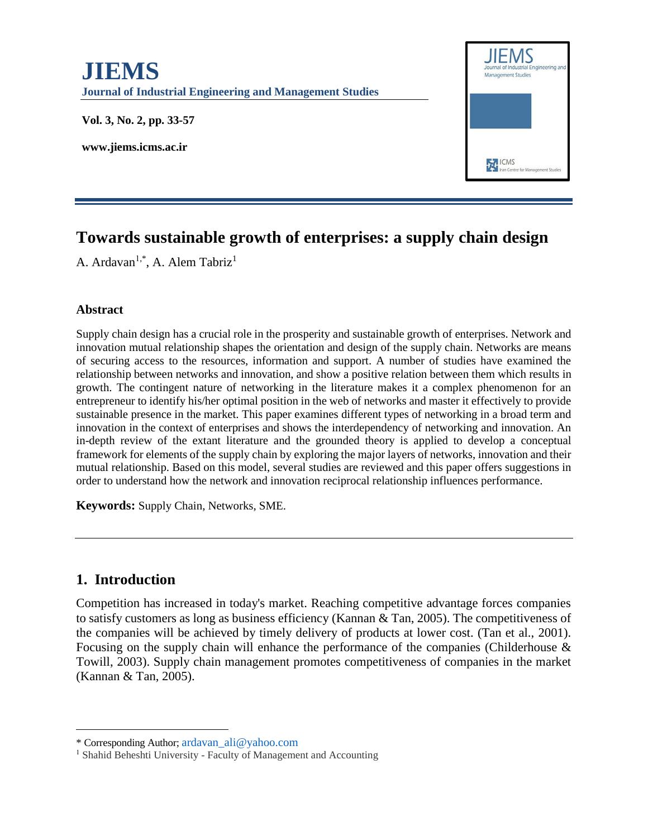

# **Towards sustainable growth of enterprises: a supply chain design**

A. Ardavan<sup>1,\*</sup>, A. Alem Tabriz<sup>1</sup>

#### **Abstract**

Supply chain design has a crucial role in the prosperity and sustainable growth of enterprises. Network and innovation mutual relationship shapes the orientation and design of the supply chain. Networks are means of securing access to the resources, information and support. A number of studies have examined the relationship between networks and innovation, and show a positive relation between them which results in growth. The contingent nature of networking in the literature makes it a complex phenomenon for an entrepreneur to identify his/her optimal position in the web of networks and master it effectively to provide sustainable presence in the market. This paper examines different types of networking in a broad term and innovation in the context of enterprises and shows the interdependency of networking and innovation. An in-depth review of the extant literature and the grounded theory is applied to develop a conceptual framework for elements of the supply chain by exploring the major layers of networks, innovation and their mutual relationship. Based on this model, several studies are reviewed and this paper offers suggestions in order to understand how the network and innovation reciprocal relationship influences performance.

**Keywords:** Supply Chain, Networks, SME.

### **1. Introduction**

 $\overline{\phantom{a}}$ 

Competition has increased in today's market. Reaching competitive advantage forces companies to satisfy customers as long as business efficiency (Kannan & Tan, 2005). The competitiveness of the companies will be achieved by timely delivery of products at lower cost. (Tan et al., 2001). Focusing on the supply chain will enhance the performance of the companies (Childerhouse & Towill, 2003). Supply chain management promotes competitiveness of companies in the market (Kannan & Tan, 2005).

<sup>\*</sup> Corresponding Author; [ardavan\\_ali@yahoo.com](mailto:ardavan_ali@yahoo.com)

<sup>&</sup>lt;sup>1</sup> Shahid Beheshti University - Faculty of Management and Accounting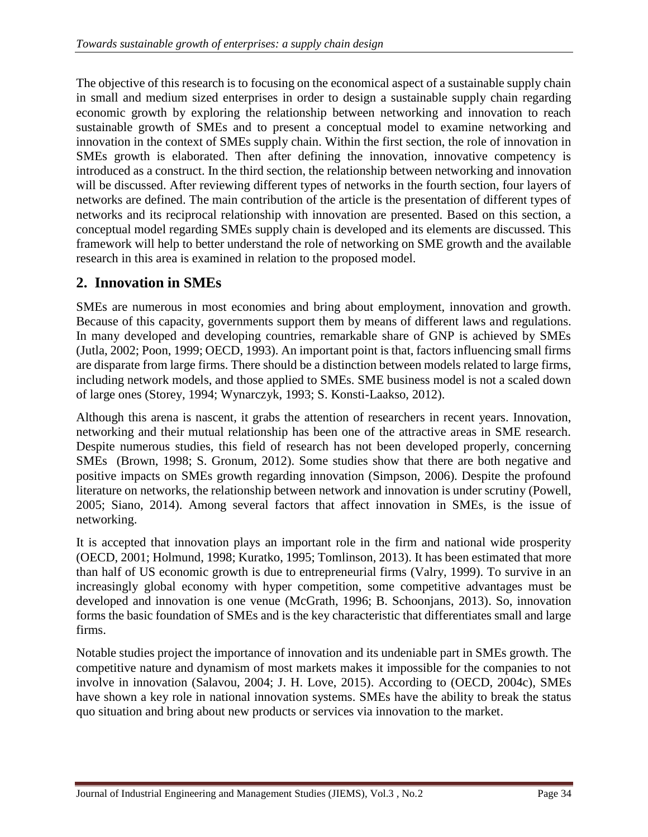The objective of this research is to focusing on the economical aspect of a sustainable supply chain in small and medium sized enterprises in order to design a sustainable supply chain regarding economic growth by exploring the relationship between networking and innovation to reach sustainable growth of SMEs and to present a conceptual model to examine networking and innovation in the context of SMEs supply chain. Within the first section, the role of innovation in SMEs growth is elaborated. Then after defining the innovation, innovative competency is introduced as a construct. In the third section, the relationship between networking and innovation will be discussed. After reviewing different types of networks in the fourth section, four layers of networks are defined. The main contribution of the article is the presentation of different types of networks and its reciprocal relationship with innovation are presented. Based on this section, a conceptual model regarding SMEs supply chain is developed and its elements are discussed. This framework will help to better understand the role of networking on SME growth and the available research in this area is examined in relation to the proposed model.

### **2. Innovation in SMEs**

SMEs are numerous in most economies and bring about employment, innovation and growth. Because of this capacity, governments support them by means of different laws and regulations. In many developed and developing countries, remarkable share of GNP is achieved by SMEs (Jutla, 2002; Poon, 1999; OECD, 1993). An important point is that, factors influencing small firms are disparate from large firms. There should be a distinction between models related to large firms, including network models, and those applied to SMEs. SME business model is not a scaled down of large ones (Storey, 1994; Wynarczyk, 1993; S. Konsti-Laakso, 2012).

Although this arena is nascent, it grabs the attention of researchers in recent years. Innovation, networking and their mutual relationship has been one of the attractive areas in SME research. Despite numerous studies, this field of research has not been developed properly, concerning SMEs (Brown, 1998; S. Gronum, 2012). Some studies show that there are both negative and positive impacts on SMEs growth regarding innovation (Simpson, 2006). Despite the profound literature on networks, the relationship between network and innovation is under scrutiny (Powell, 2005; Siano, 2014). Among several factors that affect innovation in SMEs, is the issue of networking.

It is accepted that innovation plays an important role in the firm and national wide prosperity (OECD, 2001; Holmund, 1998; Kuratko, 1995; Tomlinson, 2013). It has been estimated that more than half of US economic growth is due to entrepreneurial firms (Valry, 1999). To survive in an increasingly global economy with hyper competition, some competitive advantages must be developed and innovation is one venue (McGrath, 1996; B. Schoonjans, 2013). So, innovation forms the basic foundation of SMEs and is the key characteristic that differentiates small and large firms.

Notable studies project the importance of innovation and its undeniable part in SMEs growth. The competitive nature and dynamism of most markets makes it impossible for the companies to not involve in innovation (Salavou, 2004; J. H. Love, 2015). According to (OECD, 2004c), SMEs have shown a key role in national innovation systems. SMEs have the ability to break the status quo situation and bring about new products or services via innovation to the market.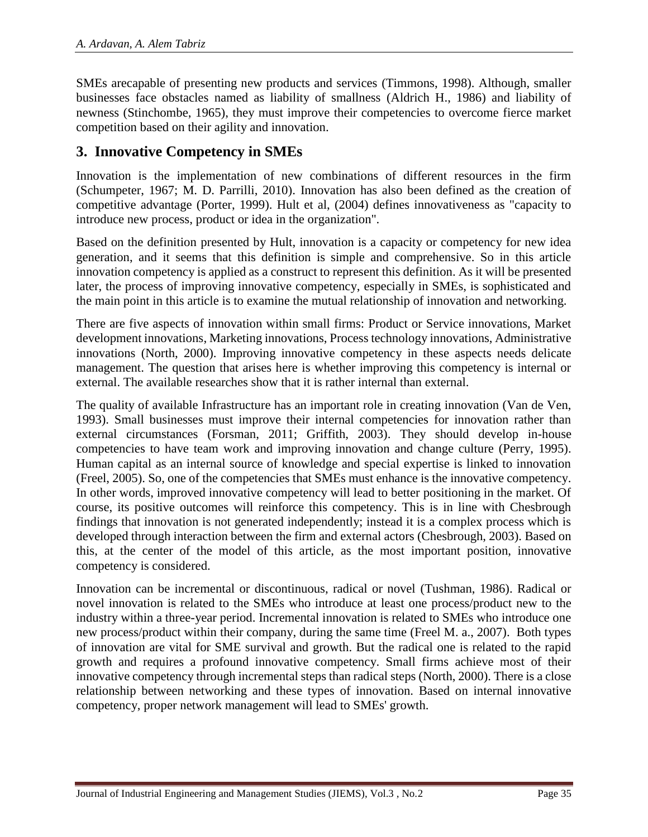SMEs arecapable of presenting new products and services (Timmons, 1998). Although, smaller businesses face obstacles named as liability of smallness (Aldrich H., 1986) and liability of newness (Stinchombe, 1965), they must improve their competencies to overcome fierce market competition based on their agility and innovation.

### **3. Innovative Competency in SMEs**

Innovation is the implementation of new combinations of different resources in the firm (Schumpeter, 1967; M. D. Parrilli, 2010). Innovation has also been defined as the creation of competitive advantage (Porter, 1999). Hult et al, (2004) defines innovativeness as "capacity to introduce new process, product or idea in the organization".

Based on the definition presented by Hult, innovation is a capacity or competency for new idea generation, and it seems that this definition is simple and comprehensive. So in this article innovation competency is applied as a construct to represent this definition. As it will be presented later, the process of improving innovative competency, especially in SMEs, is sophisticated and the main point in this article is to examine the mutual relationship of innovation and networking.

There are five aspects of innovation within small firms: Product or Service innovations, Market development innovations, Marketing innovations, Process technology innovations, Administrative innovations (North, 2000). Improving innovative competency in these aspects needs delicate management. The question that arises here is whether improving this competency is internal or external. The available researches show that it is rather internal than external.

The quality of available Infrastructure has an important role in creating innovation (Van de Ven, 1993). Small businesses must improve their internal competencies for innovation rather than external circumstances (Forsman, 2011; Griffith, 2003). They should develop in-house competencies to have team work and improving innovation and change culture (Perry, 1995). Human capital as an internal source of knowledge and special expertise is linked to innovation (Freel, 2005). So, one of the competencies that SMEs must enhance is the innovative competency. In other words, improved innovative competency will lead to better positioning in the market. Of course, its positive outcomes will reinforce this competency. This is in line with Chesbrough findings that innovation is not generated independently; instead it is a complex process which is developed through interaction between the firm and external actors (Chesbrough, 2003). Based on this, at the center of the model of this article, as the most important position, innovative competency is considered.

Innovation can be incremental or discontinuous, radical or novel (Tushman, 1986). Radical or novel innovation is related to the SMEs who introduce at least one process/product new to the industry within a three-year period. Incremental innovation is related to SMEs who introduce one new process/product within their company, during the same time (Freel M. a., 2007). Both types of innovation are vital for SME survival and growth. But the radical one is related to the rapid growth and requires a profound innovative competency. Small firms achieve most of their innovative competency through incremental steps than radical steps (North, 2000). There is a close relationship between networking and these types of innovation. Based on internal innovative competency, proper network management will lead to SMEs' growth.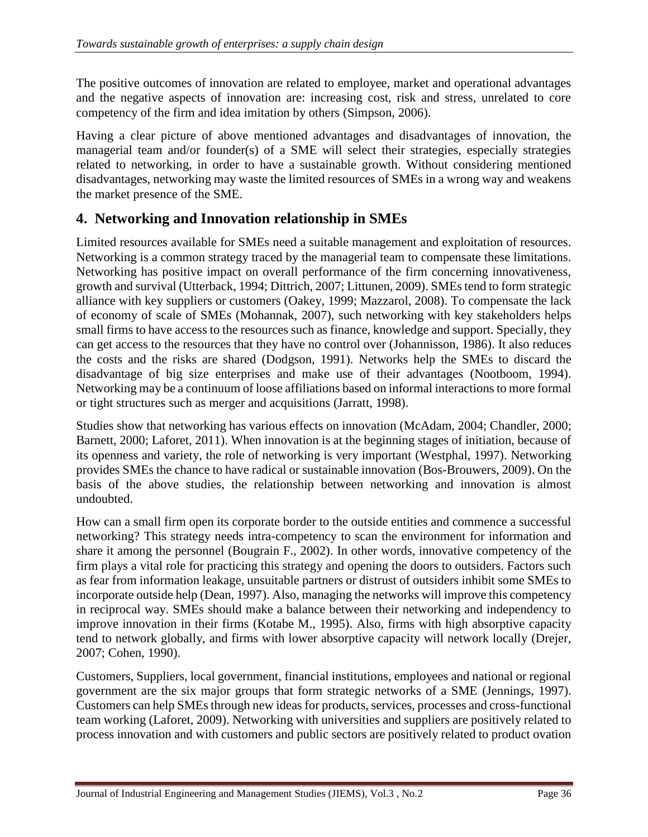The positive outcomes of innovation are related to employee, market and operational advantages and the negative aspects of innovation are: increasing cost, risk and stress, unrelated to core competency of the firm and idea imitation by others (Simpson, 2006).

Having a clear picture of above mentioned advantages and disadvantages of innovation, the managerial team and/or founder(s) of a SME will select their strategies, especially strategies related to networking, in order to have a sustainable growth. Without considering mentioned disadvantages, networking may waste the limited resources of SMEs in a wrong way and weakens the market presence of the SME.

## **4. Networking and Innovation relationship in SMEs**

Limited resources available for SMEs need a suitable management and exploitation of resources. Networking is a common strategy traced by the managerial team to compensate these limitations. Networking has positive impact on overall performance of the firm concerning innovativeness, growth and survival (Utterback, 1994; Dittrich, 2007; Littunen, 2009). SMEs tend to form strategic alliance with key suppliers or customers (Oakey, 1999; Mazzarol, 2008). To compensate the lack of economy of scale of SMEs (Mohannak, 2007), such networking with key stakeholders helps small firms to have access to the resources such as finance, knowledge and support. Specially, they can get access to the resources that they have no control over (Johannisson, 1986). It also reduces the costs and the risks are shared (Dodgson, 1991). Networks help the SMEs to discard the disadvantage of big size enterprises and make use of their advantages (Nootboom, 1994). Networking may be a continuum of loose affiliations based on informal interactions to more formal or tight structures such as merger and acquisitions (Jarratt, 1998).

Studies show that networking has various effects on innovation (McAdam, 2004; Chandler, 2000; Barnett, 2000; Laforet, 2011). When innovation is at the beginning stages of initiation, because of its openness and variety, the role of networking is very important (Westphal, 1997). Networking provides SMEs the chance to have radical or sustainable innovation (Bos-Brouwers, 2009). On the basis of the above studies, the relationship between networking and innovation is almost undoubted.

How can a small firm open its corporate border to the outside entities and commence a successful networking? This strategy needs intra-competency to scan the environment for information and share it among the personnel (Bougrain F., 2002). In other words, innovative competency of the firm plays a vital role for practicing this strategy and opening the doors to outsiders. Factors such as fear from information leakage, unsuitable partners or distrust of outsiders inhibit some SMEs to incorporate outside help (Dean, 1997). Also, managing the networks will improve this competency in reciprocal way. SMEs should make a balance between their networking and independency to improve innovation in their firms (Kotabe M., 1995). Also, firms with high absorptive capacity tend to network globally, and firms with lower absorptive capacity will network locally (Drejer, 2007; Cohen, 1990).

Customers, Suppliers, local government, financial institutions, employees and national or regional government are the six major groups that form strategic networks of a SME (Jennings, 1997). Customers can help SMEs through new ideas for products, services, processes and cross-functional team working (Laforet, 2009). Networking with universities and suppliers are positively related to process innovation and with customers and public sectors are positively related to product ovation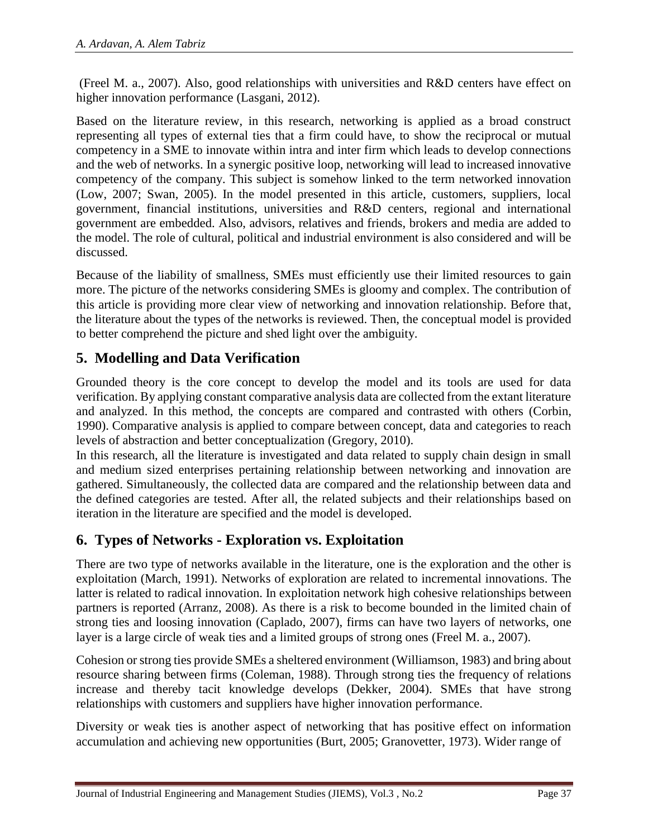(Freel M. a., 2007). Also, good relationships with universities and R&D centers have effect on higher innovation performance (Lasgani, 2012).

Based on the literature review, in this research, networking is applied as a broad construct representing all types of external ties that a firm could have, to show the reciprocal or mutual competency in a SME to innovate within intra and inter firm which leads to develop connections and the web of networks. In a synergic positive loop, networking will lead to increased innovative competency of the company. This subject is somehow linked to the term networked innovation (Low, 2007; Swan, 2005). In the model presented in this article, customers, suppliers, local government, financial institutions, universities and R&D centers, regional and international government are embedded. Also, advisors, relatives and friends, brokers and media are added to the model. The role of cultural, political and industrial environment is also considered and will be discussed.

Because of the liability of smallness, SMEs must efficiently use their limited resources to gain more. The picture of the networks considering SMEs is gloomy and complex. The contribution of this article is providing more clear view of networking and innovation relationship. Before that, the literature about the types of the networks is reviewed. Then, the conceptual model is provided to better comprehend the picture and shed light over the ambiguity.

## **5. Modelling and Data Verification**

Grounded theory is the core concept to develop the model and its tools are used for data verification. By applying constant comparative analysis data are collected from the extant literature and analyzed. In this method, the concepts are compared and contrasted with others (Corbin, 1990). Comparative analysis is applied to compare between concept, data and categories to reach levels of abstraction and better conceptualization (Gregory, 2010).

In this research, all the literature is investigated and data related to supply chain design in small and medium sized enterprises pertaining relationship between networking and innovation are gathered. Simultaneously, the collected data are compared and the relationship between data and the defined categories are tested. After all, the related subjects and their relationships based on iteration in the literature are specified and the model is developed.

## **6. Types of Networks - Exploration vs. Exploitation**

There are two type of networks available in the literature, one is the exploration and the other is exploitation (March, 1991). Networks of exploration are related to incremental innovations. The latter is related to radical innovation. In exploitation network high cohesive relationships between partners is reported (Arranz, 2008). As there is a risk to become bounded in the limited chain of strong ties and loosing innovation (Caplado, 2007), firms can have two layers of networks, one layer is a large circle of weak ties and a limited groups of strong ones (Freel M. a., 2007).

Cohesion or strong ties provide SMEs a sheltered environment (Williamson, 1983) and bring about resource sharing between firms (Coleman, 1988). Through strong ties the frequency of relations increase and thereby tacit knowledge develops (Dekker, 2004). SMEs that have strong relationships with customers and suppliers have higher innovation performance.

Diversity or weak ties is another aspect of networking that has positive effect on information accumulation and achieving new opportunities (Burt, 2005; Granovetter, 1973). Wider range of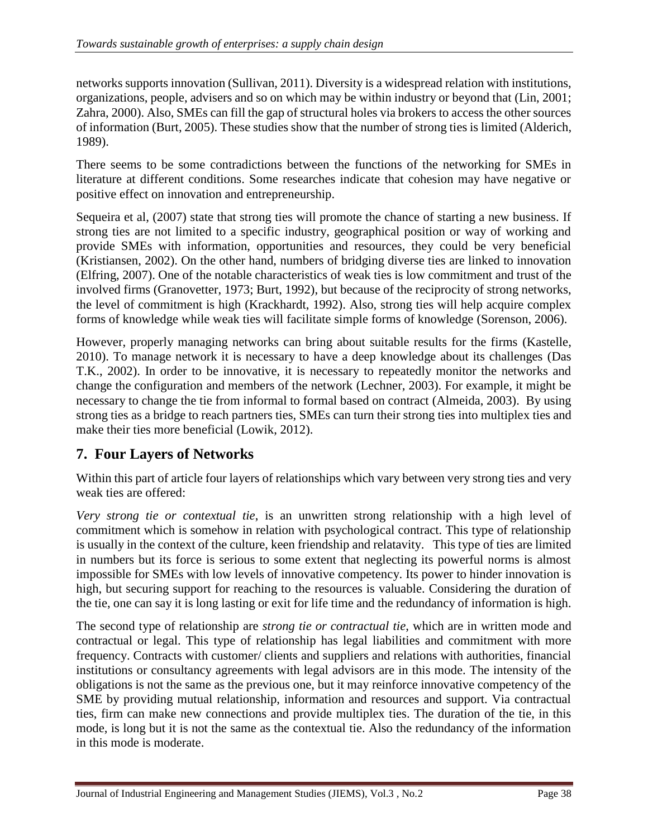networks supports innovation (Sullivan, 2011). Diversity is a widespread relation with institutions, organizations, people, advisers and so on which may be within industry or beyond that (Lin, 2001; Zahra, 2000). Also, SMEs can fill the gap of structural holes via brokers to access the other sources of information (Burt, 2005). These studies show that the number of strong ties is limited (Alderich, 1989).

There seems to be some contradictions between the functions of the networking for SMEs in literature at different conditions. Some researches indicate that cohesion may have negative or positive effect on innovation and entrepreneurship.

Sequeira et al, (2007) state that strong ties will promote the chance of starting a new business. If strong ties are not limited to a specific industry, geographical position or way of working and provide SMEs with information, opportunities and resources, they could be very beneficial (Kristiansen, 2002). On the other hand, numbers of bridging diverse ties are linked to innovation (Elfring, 2007). One of the notable characteristics of weak ties is low commitment and trust of the involved firms (Granovetter, 1973; Burt, 1992), but because of the reciprocity of strong networks, the level of commitment is high (Krackhardt, 1992). Also, strong ties will help acquire complex forms of knowledge while weak ties will facilitate simple forms of knowledge (Sorenson, 2006).

However, properly managing networks can bring about suitable results for the firms (Kastelle, 2010). To manage network it is necessary to have a deep knowledge about its challenges (Das T.K., 2002). In order to be innovative, it is necessary to repeatedly monitor the networks and change the configuration and members of the network (Lechner, 2003). For example, it might be necessary to change the tie from informal to formal based on contract (Almeida, 2003). By using strong ties as a bridge to reach partners ties, SMEs can turn their strong ties into multiplex ties and make their ties more beneficial (Lowik, 2012).

## **7. Four Layers of Networks**

Within this part of article four layers of relationships which vary between very strong ties and very weak ties are offered:

*Very strong tie or contextual tie*, is an unwritten strong relationship with a high level of commitment which is somehow in relation with psychological contract. This type of relationship is usually in the context of the culture, keen friendship and relatavity. This type of ties are limited in numbers but its force is serious to some extent that neglecting its powerful norms is almost impossible for SMEs with low levels of innovative competency. Its power to hinder innovation is high, but securing support for reaching to the resources is valuable. Considering the duration of the tie, one can say it is long lasting or exit for life time and the redundancy of information is high.

The second type of relationship are *strong tie or contractual tie*, which are in written mode and contractual or legal. This type of relationship has legal liabilities and commitment with more frequency. Contracts with customer/ clients and suppliers and relations with authorities, financial institutions or consultancy agreements with legal advisors are in this mode. The intensity of the obligations is not the same as the previous one, but it may reinforce innovative competency of the SME by providing mutual relationship, information and resources and support. Via contractual ties, firm can make new connections and provide multiplex ties. The duration of the tie, in this mode, is long but it is not the same as the contextual tie. Also the redundancy of the information in this mode is moderate.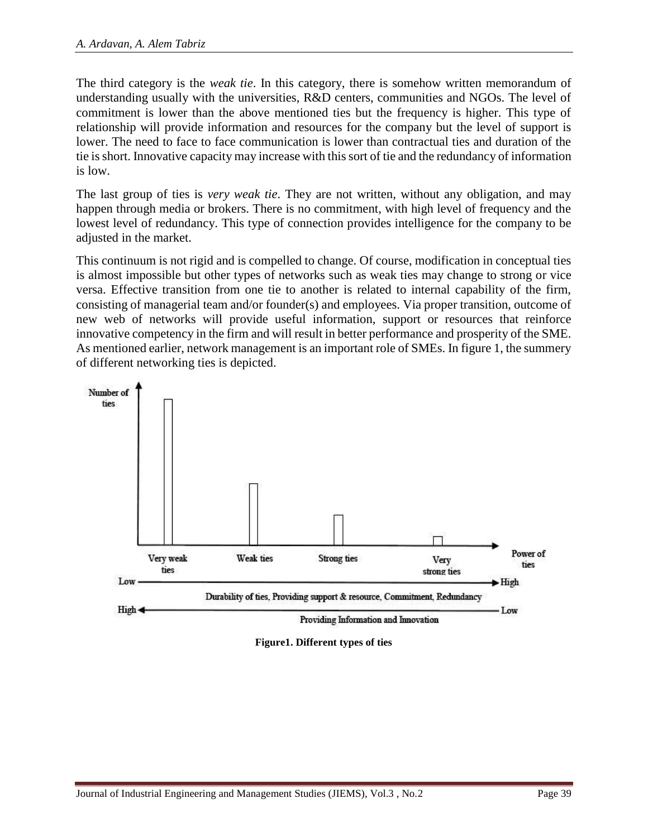The third category is the *weak tie*. In this category, there is somehow written memorandum of understanding usually with the universities, R&D centers, communities and NGOs. The level of commitment is lower than the above mentioned ties but the frequency is higher. This type of relationship will provide information and resources for the company but the level of support is lower. The need to face to face communication is lower than contractual ties and duration of the tie is short. Innovative capacity may increase with this sort of tie and the redundancy of information is low.

The last group of ties is *very weak tie*. They are not written, without any obligation, and may happen through media or brokers. There is no commitment, with high level of frequency and the lowest level of redundancy. This type of connection provides intelligence for the company to be adjusted in the market.

This continuum is not rigid and is compelled to change. Of course, modification in conceptual ties is almost impossible but other types of networks such as weak ties may change to strong or vice versa. Effective transition from one tie to another is related to internal capability of the firm, consisting of managerial team and/or founder(s) and employees. Via proper transition, outcome of new web of networks will provide useful information, support or resources that reinforce innovative competency in the firm and will result in better performance and prosperity of the SME. As mentioned earlier, network management is an important role of SMEs. In figure 1, the summery of different networking ties is depicted.



**Figure1. Different types of ties**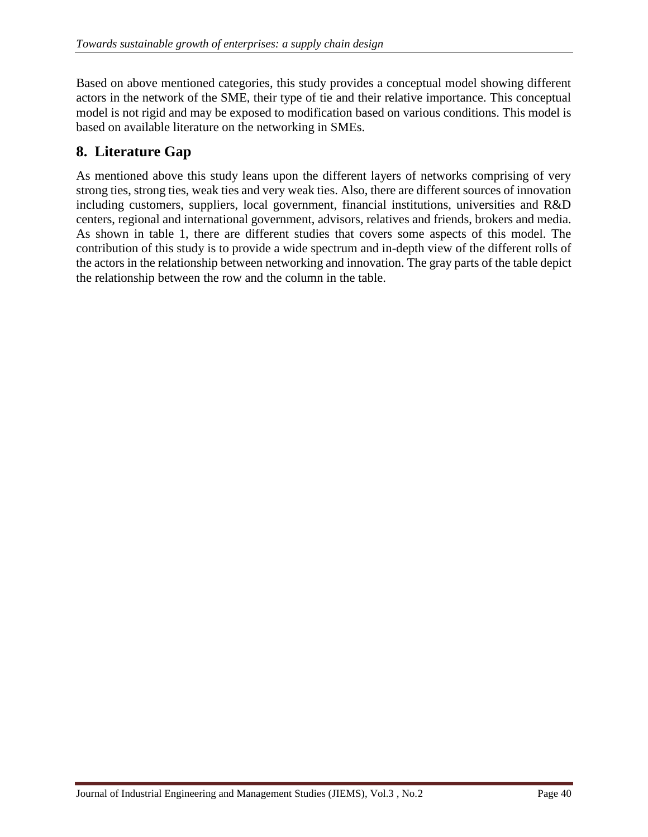Based on above mentioned categories, this study provides a conceptual model showing different actors in the network of the SME, their type of tie and their relative importance. This conceptual model is not rigid and may be exposed to modification based on various conditions. This model is based on available literature on the networking in SMEs.

## **8. Literature Gap**

As mentioned above this study leans upon the different layers of networks comprising of very strong ties, strong ties, weak ties and very weak ties. Also, there are different sources of innovation including customers, suppliers, local government, financial institutions, universities and R&D centers, regional and international government, advisors, relatives and friends, brokers and media. As shown in table 1, there are different studies that covers some aspects of this model. The contribution of this study is to provide a wide spectrum and in-depth view of the different rolls of the actors in the relationship between networking and innovation. The gray parts of the table depict the relationship between the row and the column in the table.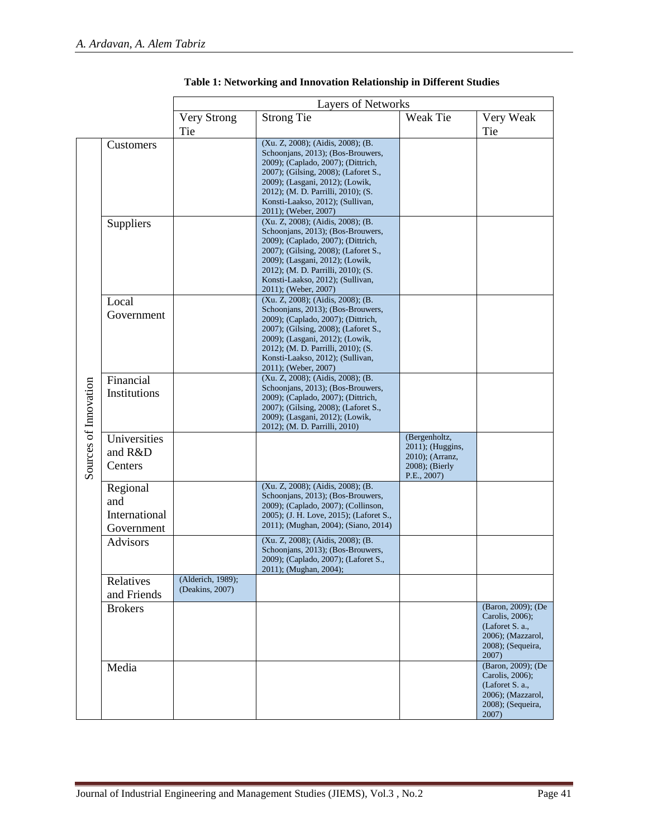|                       |                                                | <b>Layers of Networks</b>            |                                                                                                                                                                                                                                                                                           |                                                                                       |                                                                                                             |
|-----------------------|------------------------------------------------|--------------------------------------|-------------------------------------------------------------------------------------------------------------------------------------------------------------------------------------------------------------------------------------------------------------------------------------------|---------------------------------------------------------------------------------------|-------------------------------------------------------------------------------------------------------------|
|                       |                                                | Very Strong                          | <b>Strong Tie</b>                                                                                                                                                                                                                                                                         | Weak Tie                                                                              | Very Weak                                                                                                   |
|                       |                                                | Tie                                  |                                                                                                                                                                                                                                                                                           |                                                                                       | Tie                                                                                                         |
| Sources of Innovation | Customers                                      |                                      | (Xu. Z, 2008); (Aidis, 2008); (B.<br>Schoonjans, 2013); (Bos-Brouwers,<br>2009); (Caplado, 2007); (Dittrich,<br>2007); (Gilsing, 2008); (Laforet S.,<br>2009); (Lasgani, 2012); (Lowik,<br>2012); (M. D. Parrilli, 2010); (S.<br>Konsti-Laakso, 2012); (Sullivan,<br>2011); (Weber, 2007) |                                                                                       |                                                                                                             |
|                       | Suppliers                                      |                                      | (Xu. Z, 2008); (Aidis, 2008); (B.<br>Schoonjans, 2013); (Bos-Brouwers,<br>2009); (Caplado, 2007); (Dittrich,<br>2007); (Gilsing, 2008); (Laforet S.,<br>2009); (Lasgani, 2012); (Lowik,<br>2012); (M. D. Parrilli, 2010); (S.<br>Konsti-Laakso, 2012); (Sullivan,<br>2011); (Weber, 2007) |                                                                                       |                                                                                                             |
|                       | Local<br>Government                            |                                      | (Xu. Z, 2008); (Aidis, 2008); (B.<br>Schoonjans, 2013); (Bos-Brouwers,<br>2009); (Caplado, 2007); (Dittrich,<br>2007); (Gilsing, 2008); (Laforet S.,<br>2009); (Lasgani, 2012); (Lowik,<br>2012); (M. D. Parrilli, 2010); (S.<br>Konsti-Laakso, 2012); (Sullivan,<br>2011); (Weber, 2007) |                                                                                       |                                                                                                             |
|                       | Financial<br>Institutions                      |                                      | (Xu. Z, 2008); (Aidis, 2008); (B.<br>Schoonjans, 2013); (Bos-Brouwers,<br>2009); (Caplado, 2007); (Dittrich,<br>2007); (Gilsing, 2008); (Laforet S.,<br>2009); (Lasgani, 2012); (Lowik,<br>2012); (M. D. Parrilli, 2010)                                                                  |                                                                                       |                                                                                                             |
|                       | Universities<br>and R&D<br>Centers             |                                      |                                                                                                                                                                                                                                                                                           | (Bergenholtz,<br>2011); (Huggins,<br>2010); (Arranz,<br>2008); (Bierly<br>P.E., 2007) |                                                                                                             |
|                       | Regional<br>and<br>International<br>Government |                                      | (Xu. Z, 2008); (Aidis, 2008); (B.<br>Schoonjans, 2013); (Bos-Brouwers,<br>2009); (Caplado, 2007); (Collinson,<br>2005); (J. H. Love, 2015); (Laforet S.,<br>2011); (Mughan, 2004); (Siano, 2014)                                                                                          |                                                                                       |                                                                                                             |
|                       | <b>Advisors</b>                                |                                      | (Xu. Z, 2008); (Aidis, 2008); (B.<br>Schoonjans, 2013); (Bos-Brouwers,<br>2009); (Caplado, 2007); (Laforet S.,<br>2011); (Mughan, 2004);                                                                                                                                                  |                                                                                       |                                                                                                             |
|                       | Relatives<br>and Friends                       | (Alderich, 1989);<br>(Deakins, 2007) |                                                                                                                                                                                                                                                                                           |                                                                                       |                                                                                                             |
|                       | <b>Brokers</b>                                 |                                      |                                                                                                                                                                                                                                                                                           |                                                                                       | (Baron, 2009); (De<br>Carolis, 2006);<br>(Laforet S. a.,<br>2006); (Mazzarol,<br>2008); (Sequeira,<br>2007) |
|                       | Media                                          |                                      |                                                                                                                                                                                                                                                                                           |                                                                                       | (Baron, 2009); (De<br>Carolis, 2006);<br>(Laforet S. a.,<br>2006); (Mazzarol,<br>2008); (Sequeira,<br>2007) |

#### **Table 1: Networking and Innovation Relationship in Different Studies**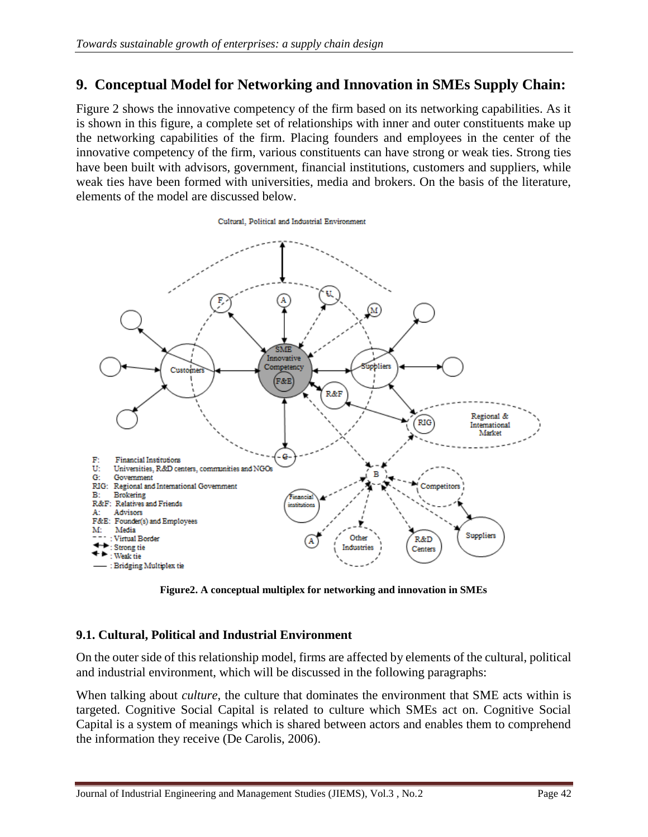### **9. Conceptual Model for Networking and Innovation in SMEs Supply Chain:**

Figure 2 shows the innovative competency of the firm based on its networking capabilities. As it is shown in this figure, a complete set of relationships with inner and outer constituents make up the networking capabilities of the firm. Placing founders and employees in the center of the innovative competency of the firm, various constituents can have strong or weak ties. Strong ties have been built with advisors, government, financial institutions, customers and suppliers, while weak ties have been formed with universities, media and brokers. On the basis of the literature, elements of the model are discussed below.

Cultural, Political and Industrial Environment



**Figure2. A conceptual multiplex for networking and innovation in SMEs**

#### **9.1. Cultural, Political and Industrial Environment**

On the outer side of this relationship model, firms are affected by elements of the cultural, political and industrial environment, which will be discussed in the following paragraphs:

When talking about *culture*, the culture that dominates the environment that SME acts within is targeted. Cognitive Social Capital is related to culture which SMEs act on. Cognitive Social Capital is a system of meanings which is shared between actors and enables them to comprehend the information they receive (De Carolis, 2006).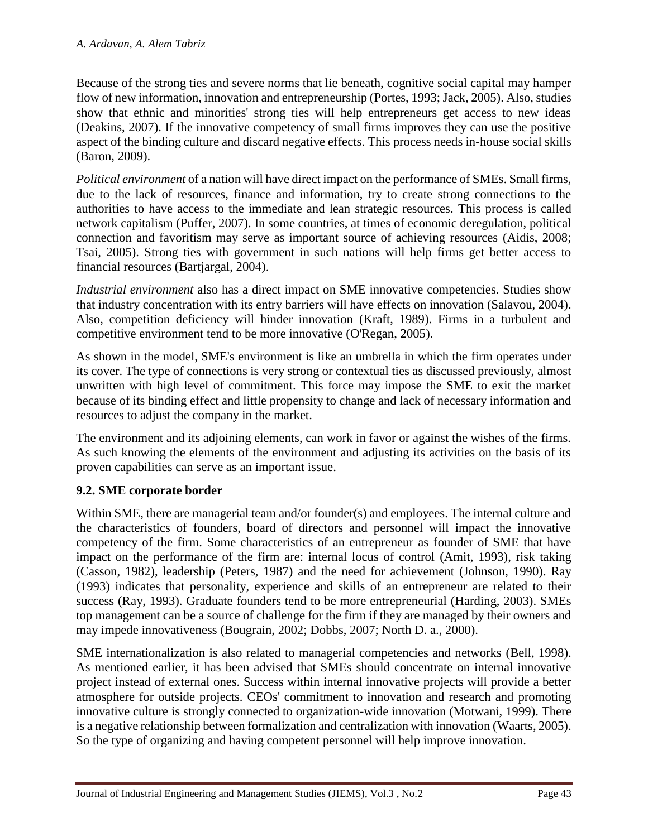Because of the strong ties and severe norms that lie beneath, cognitive social capital may hamper flow of new information, innovation and entrepreneurship (Portes, 1993; Jack, 2005). Also, studies show that ethnic and minorities' strong ties will help entrepreneurs get access to new ideas (Deakins, 2007). If the innovative competency of small firms improves they can use the positive aspect of the binding culture and discard negative effects. This process needs in-house social skills (Baron, 2009).

*Political environment* of a nation will have direct impact on the performance of SMEs. Small firms, due to the lack of resources, finance and information, try to create strong connections to the authorities to have access to the immediate and lean strategic resources. This process is called network capitalism (Puffer, 2007). In some countries, at times of economic deregulation, political connection and favoritism may serve as important source of achieving resources (Aidis, 2008; Tsai, 2005). Strong ties with government in such nations will help firms get better access to financial resources (Bartjargal, 2004).

*Industrial environment* also has a direct impact on SME innovative competencies. Studies show that industry concentration with its entry barriers will have effects on innovation (Salavou, 2004). Also, competition deficiency will hinder innovation (Kraft, 1989). Firms in a turbulent and competitive environment tend to be more innovative (O'Regan, 2005).

As shown in the model, SME's environment is like an umbrella in which the firm operates under its cover. The type of connections is very strong or contextual ties as discussed previously, almost unwritten with high level of commitment. This force may impose the SME to exit the market because of its binding effect and little propensity to change and lack of necessary information and resources to adjust the company in the market.

The environment and its adjoining elements, can work in favor or against the wishes of the firms. As such knowing the elements of the environment and adjusting its activities on the basis of its proven capabilities can serve as an important issue.

### **9.2. SME corporate border**

Within SME, there are managerial team and/or founder(s) and employees. The internal culture and the characteristics of founders, board of directors and personnel will impact the innovative competency of the firm. Some characteristics of an entrepreneur as founder of SME that have impact on the performance of the firm are: internal locus of control (Amit, 1993), risk taking (Casson, 1982), leadership (Peters, 1987) and the need for achievement (Johnson, 1990). Ray (1993) indicates that personality, experience and skills of an entrepreneur are related to their success (Ray, 1993). Graduate founders tend to be more entrepreneurial (Harding, 2003). SMEs top management can be a source of challenge for the firm if they are managed by their owners and may impede innovativeness (Bougrain, 2002; Dobbs, 2007; North D. a., 2000).

SME internationalization is also related to managerial competencies and networks (Bell, 1998). As mentioned earlier, it has been advised that SMEs should concentrate on internal innovative project instead of external ones. Success within internal innovative projects will provide a better atmosphere for outside projects. CEOs' commitment to innovation and research and promoting innovative culture is strongly connected to organization-wide innovation (Motwani, 1999). There is a negative relationship between formalization and centralization with innovation (Waarts, 2005). So the type of organizing and having competent personnel will help improve innovation.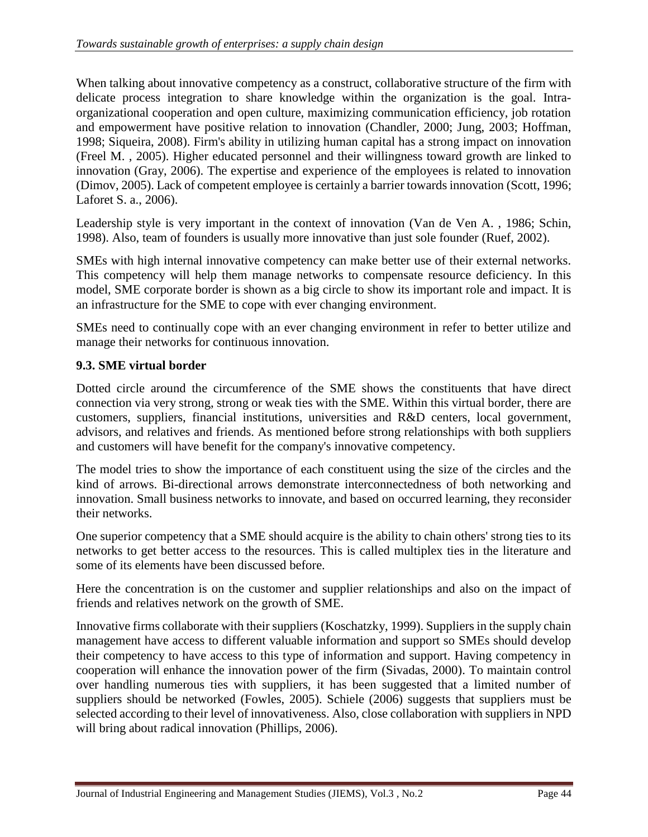When talking about innovative competency as a construct, collaborative structure of the firm with delicate process integration to share knowledge within the organization is the goal. Intraorganizational cooperation and open culture, maximizing communication efficiency, job rotation and empowerment have positive relation to innovation (Chandler, 2000; Jung, 2003; Hoffman, 1998; Siqueira, 2008). Firm's ability in utilizing human capital has a strong impact on innovation (Freel M. , 2005). Higher educated personnel and their willingness toward growth are linked to innovation (Gray, 2006). The expertise and experience of the employees is related to innovation (Dimov, 2005). Lack of competent employee is certainly a barrier towards innovation (Scott, 1996; Laforet S. a., 2006).

Leadership style is very important in the context of innovation (Van de Ven A. , 1986; Schin, 1998). Also, team of founders is usually more innovative than just sole founder (Ruef, 2002).

SMEs with high internal innovative competency can make better use of their external networks. This competency will help them manage networks to compensate resource deficiency. In this model, SME corporate border is shown as a big circle to show its important role and impact. It is an infrastructure for the SME to cope with ever changing environment.

SMEs need to continually cope with an ever changing environment in refer to better utilize and manage their networks for continuous innovation.

#### **9.3. SME virtual border**

Dotted circle around the circumference of the SME shows the constituents that have direct connection via very strong, strong or weak ties with the SME. Within this virtual border, there are customers, suppliers, financial institutions, universities and R&D centers, local government, advisors, and relatives and friends. As mentioned before strong relationships with both suppliers and customers will have benefit for the company's innovative competency.

The model tries to show the importance of each constituent using the size of the circles and the kind of arrows. Bi-directional arrows demonstrate interconnectedness of both networking and innovation. Small business networks to innovate, and based on occurred learning, they reconsider their networks.

One superior competency that a SME should acquire is the ability to chain others' strong ties to its networks to get better access to the resources. This is called multiplex ties in the literature and some of its elements have been discussed before.

Here the concentration is on the customer and supplier relationships and also on the impact of friends and relatives network on the growth of SME.

Innovative firms collaborate with their suppliers (Koschatzky, 1999). Suppliers in the supply chain management have access to different valuable information and support so SMEs should develop their competency to have access to this type of information and support. Having competency in cooperation will enhance the innovation power of the firm (Sivadas, 2000). To maintain control over handling numerous ties with suppliers, it has been suggested that a limited number of suppliers should be networked (Fowles, 2005). Schiele (2006) suggests that suppliers must be selected according to their level of innovativeness. Also, close collaboration with suppliers in NPD will bring about radical innovation (Phillips, 2006).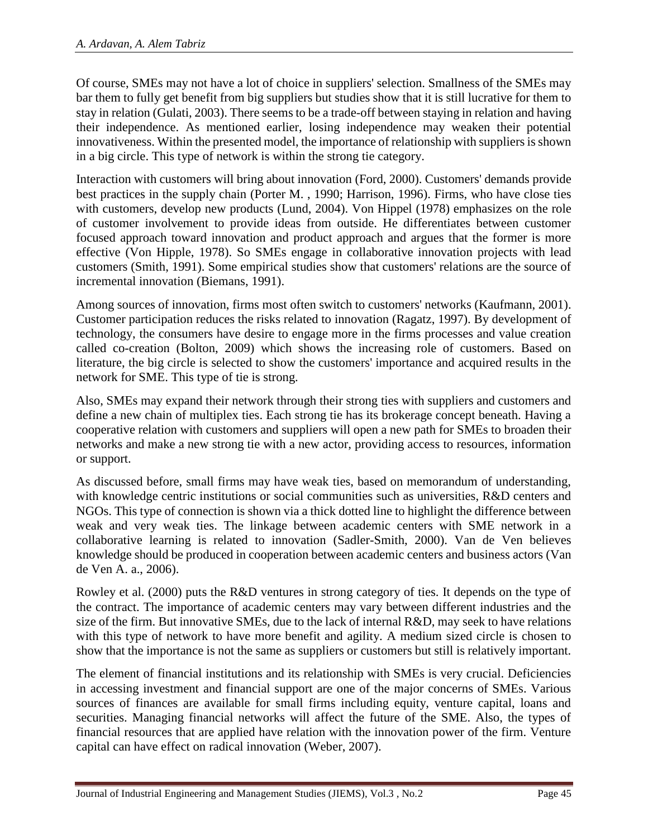Of course, SMEs may not have a lot of choice in suppliers' selection. Smallness of the SMEs may bar them to fully get benefit from big suppliers but studies show that it is still lucrative for them to stay in relation (Gulati, 2003). There seems to be a trade-off between staying in relation and having their independence. As mentioned earlier, losing independence may weaken their potential innovativeness. Within the presented model, the importance of relationship with suppliers is shown in a big circle. This type of network is within the strong tie category.

Interaction with customers will bring about innovation (Ford, 2000). Customers' demands provide best practices in the supply chain (Porter M. , 1990; Harrison, 1996). Firms, who have close ties with customers, develop new products (Lund, 2004). Von Hippel (1978) emphasizes on the role of customer involvement to provide ideas from outside. He differentiates between customer focused approach toward innovation and product approach and argues that the former is more effective (Von Hipple, 1978). So SMEs engage in collaborative innovation projects with lead customers (Smith, 1991). Some empirical studies show that customers' relations are the source of incremental innovation (Biemans, 1991).

Among sources of innovation, firms most often switch to customers' networks (Kaufmann, 2001). Customer participation reduces the risks related to innovation (Ragatz, 1997). By development of technology, the consumers have desire to engage more in the firms processes and value creation called co-creation (Bolton, 2009) which shows the increasing role of customers. Based on literature, the big circle is selected to show the customers' importance and acquired results in the network for SME. This type of tie is strong.

Also, SMEs may expand their network through their strong ties with suppliers and customers and define a new chain of multiplex ties. Each strong tie has its brokerage concept beneath. Having a cooperative relation with customers and suppliers will open a new path for SMEs to broaden their networks and make a new strong tie with a new actor, providing access to resources, information or support.

As discussed before, small firms may have weak ties, based on memorandum of understanding, with knowledge centric institutions or social communities such as universities, R&D centers and NGOs. This type of connection is shown via a thick dotted line to highlight the difference between weak and very weak ties. The linkage between academic centers with SME network in a collaborative learning is related to innovation (Sadler-Smith, 2000). Van de Ven believes knowledge should be produced in cooperation between academic centers and business actors (Van de Ven A. a., 2006).

Rowley et al. (2000) puts the R&D ventures in strong category of ties. It depends on the type of the contract. The importance of academic centers may vary between different industries and the size of the firm. But innovative SMEs, due to the lack of internal R&D, may seek to have relations with this type of network to have more benefit and agility. A medium sized circle is chosen to show that the importance is not the same as suppliers or customers but still is relatively important.

The element of financial institutions and its relationship with SMEs is very crucial. Deficiencies in accessing investment and financial support are one of the major concerns of SMEs. Various sources of finances are available for small firms including equity, venture capital, loans and securities. Managing financial networks will affect the future of the SME. Also, the types of financial resources that are applied have relation with the innovation power of the firm. Venture capital can have effect on radical innovation (Weber, 2007).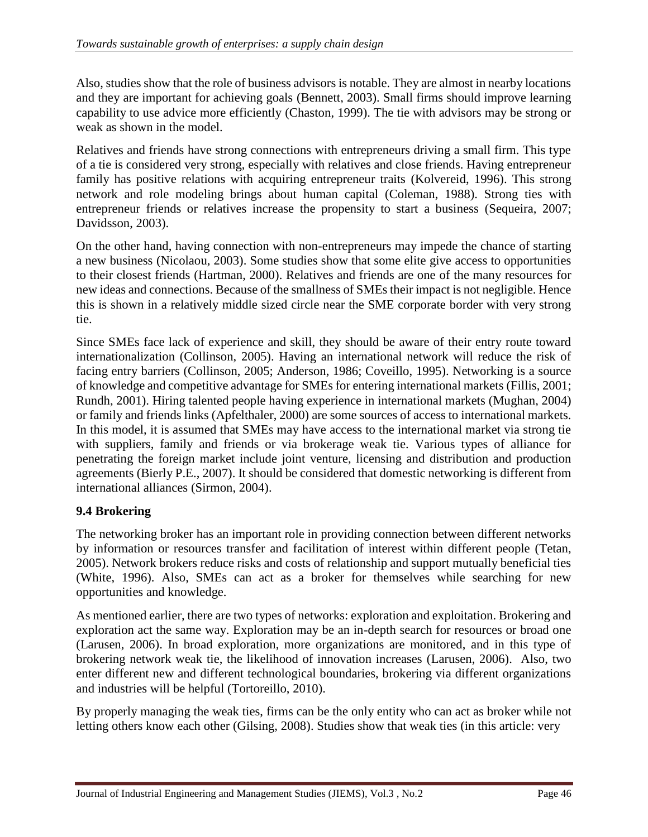Also, studies show that the role of business advisors is notable. They are almost in nearby locations and they are important for achieving goals (Bennett, 2003). Small firms should improve learning capability to use advice more efficiently (Chaston, 1999). The tie with advisors may be strong or weak as shown in the model.

Relatives and friends have strong connections with entrepreneurs driving a small firm. This type of a tie is considered very strong, especially with relatives and close friends. Having entrepreneur family has positive relations with acquiring entrepreneur traits (Kolvereid, 1996). This strong network and role modeling brings about human capital (Coleman, 1988). Strong ties with entrepreneur friends or relatives increase the propensity to start a business (Sequeira, 2007; Davidsson, 2003).

On the other hand, having connection with non-entrepreneurs may impede the chance of starting a new business (Nicolaou, 2003). Some studies show that some elite give access to opportunities to their closest friends (Hartman, 2000). Relatives and friends are one of the many resources for new ideas and connections. Because of the smallness of SMEs their impact is not negligible. Hence this is shown in a relatively middle sized circle near the SME corporate border with very strong tie.

Since SMEs face lack of experience and skill, they should be aware of their entry route toward internationalization (Collinson, 2005). Having an international network will reduce the risk of facing entry barriers (Collinson, 2005; Anderson, 1986; Coveillo, 1995). Networking is a source of knowledge and competitive advantage for SMEs for entering international markets (Fillis, 2001; Rundh, 2001). Hiring talented people having experience in international markets (Mughan, 2004) or family and friends links (Apfelthaler, 2000) are some sources of access to international markets. In this model, it is assumed that SMEs may have access to the international market via strong tie with suppliers, family and friends or via brokerage weak tie. Various types of alliance for penetrating the foreign market include joint venture, licensing and distribution and production agreements (Bierly P.E., 2007). It should be considered that domestic networking is different from international alliances (Sirmon, 2004).

### **9.4 Brokering**

The networking broker has an important role in providing connection between different networks by information or resources transfer and facilitation of interest within different people (Tetan, 2005). Network brokers reduce risks and costs of relationship and support mutually beneficial ties (White, 1996). Also, SMEs can act as a broker for themselves while searching for new opportunities and knowledge.

As mentioned earlier, there are two types of networks: exploration and exploitation. Brokering and exploration act the same way. Exploration may be an in-depth search for resources or broad one (Larusen, 2006). In broad exploration, more organizations are monitored, and in this type of brokering network weak tie, the likelihood of innovation increases (Larusen, 2006). Also, two enter different new and different technological boundaries, brokering via different organizations and industries will be helpful (Tortoreillo, 2010).

By properly managing the weak ties, firms can be the only entity who can act as broker while not letting others know each other (Gilsing, 2008). Studies show that weak ties (in this article: very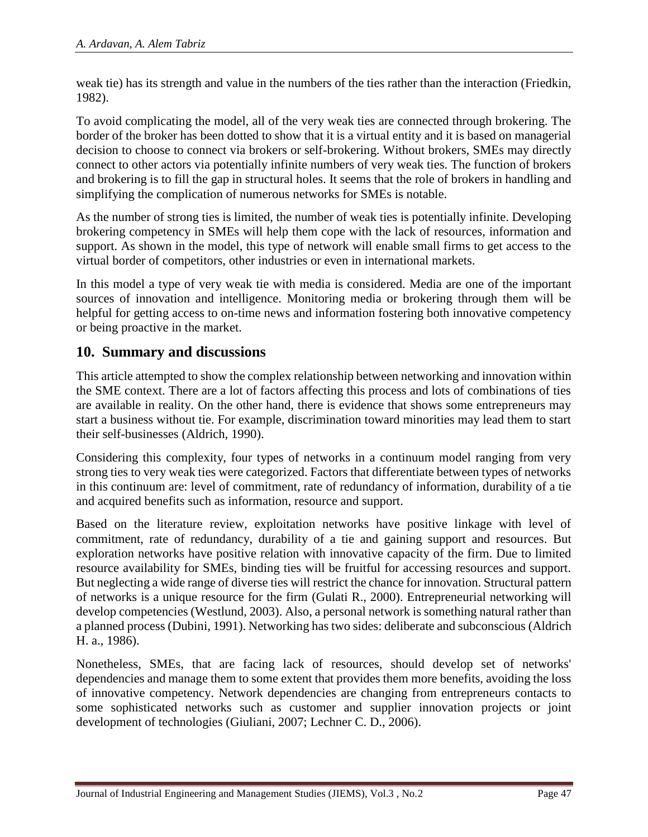weak tie) has its strength and value in the numbers of the ties rather than the interaction (Friedkin, 1982).

To avoid complicating the model, all of the very weak ties are connected through brokering. The border of the broker has been dotted to show that it is a virtual entity and it is based on managerial decision to choose to connect via brokers or self-brokering. Without brokers, SMEs may directly connect to other actors via potentially infinite numbers of very weak ties. The function of brokers and brokering is to fill the gap in structural holes. It seems that the role of brokers in handling and simplifying the complication of numerous networks for SMEs is notable.

As the number of strong ties is limited, the number of weak ties is potentially infinite. Developing brokering competency in SMEs will help them cope with the lack of resources, information and support. As shown in the model, this type of network will enable small firms to get access to the virtual border of competitors, other industries or even in international markets.

In this model a type of very weak tie with media is considered. Media are one of the important sources of innovation and intelligence. Monitoring media or brokering through them will be helpful for getting access to on-time news and information fostering both innovative competency or being proactive in the market.

### **10. Summary and discussions**

This article attempted to show the complex relationship between networking and innovation within the SME context. There are a lot of factors affecting this process and lots of combinations of ties are available in reality. On the other hand, there is evidence that shows some entrepreneurs may start a business without tie. For example, discrimination toward minorities may lead them to start their self-businesses (Aldrich, 1990).

Considering this complexity, four types of networks in a continuum model ranging from very strong ties to very weak ties were categorized. Factors that differentiate between types of networks in this continuum are: level of commitment, rate of redundancy of information, durability of a tie and acquired benefits such as information, resource and support.

Based on the literature review, exploitation networks have positive linkage with level of commitment, rate of redundancy, durability of a tie and gaining support and resources. But exploration networks have positive relation with innovative capacity of the firm. Due to limited resource availability for SMEs, binding ties will be fruitful for accessing resources and support. But neglecting a wide range of diverse ties will restrict the chance for innovation. Structural pattern of networks is a unique resource for the firm (Gulati R., 2000). Entrepreneurial networking will develop competencies (Westlund, 2003). Also, a personal network is something natural rather than a planned process (Dubini, 1991). Networking has two sides: deliberate and subconscious (Aldrich H. a., 1986).

Nonetheless, SMEs, that are facing lack of resources, should develop set of networks' dependencies and manage them to some extent that provides them more benefits, avoiding the loss of innovative competency. Network dependencies are changing from entrepreneurs contacts to some sophisticated networks such as customer and supplier innovation projects or joint development of technologies (Giuliani, 2007; Lechner C. D., 2006).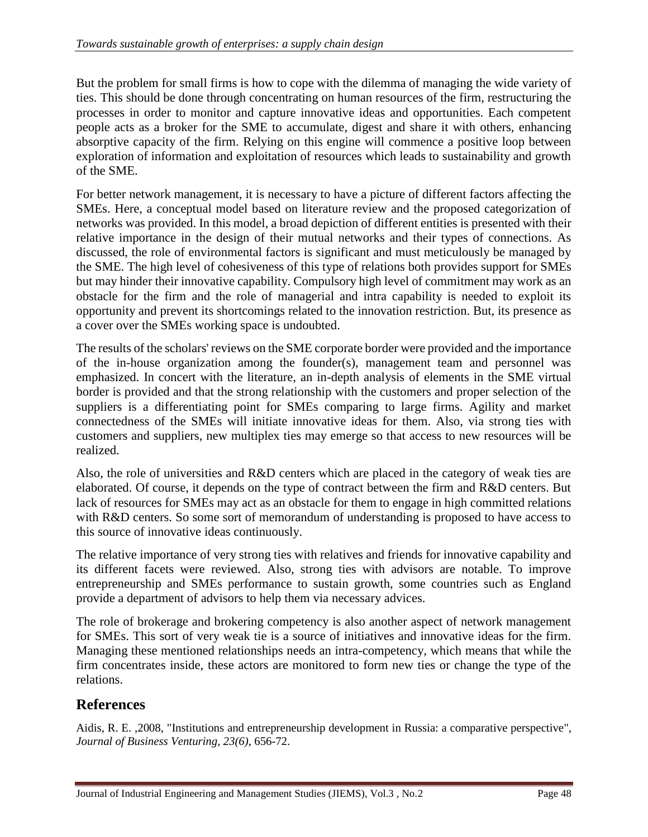But the problem for small firms is how to cope with the dilemma of managing the wide variety of ties. This should be done through concentrating on human resources of the firm, restructuring the processes in order to monitor and capture innovative ideas and opportunities. Each competent people acts as a broker for the SME to accumulate, digest and share it with others, enhancing absorptive capacity of the firm. Relying on this engine will commence a positive loop between exploration of information and exploitation of resources which leads to sustainability and growth of the SME.

For better network management, it is necessary to have a picture of different factors affecting the SMEs. Here, a conceptual model based on literature review and the proposed categorization of networks was provided. In this model, a broad depiction of different entities is presented with their relative importance in the design of their mutual networks and their types of connections. As discussed, the role of environmental factors is significant and must meticulously be managed by the SME. The high level of cohesiveness of this type of relations both provides support for SMEs but may hinder their innovative capability. Compulsory high level of commitment may work as an obstacle for the firm and the role of managerial and intra capability is needed to exploit its opportunity and prevent its shortcomings related to the innovation restriction. But, its presence as a cover over the SMEs working space is undoubted.

The results of the scholars' reviews on the SME corporate border were provided and the importance of the in-house organization among the founder(s), management team and personnel was emphasized. In concert with the literature, an in-depth analysis of elements in the SME virtual border is provided and that the strong relationship with the customers and proper selection of the suppliers is a differentiating point for SMEs comparing to large firms. Agility and market connectedness of the SMEs will initiate innovative ideas for them. Also, via strong ties with customers and suppliers, new multiplex ties may emerge so that access to new resources will be realized.

Also, the role of universities and R&D centers which are placed in the category of weak ties are elaborated. Of course, it depends on the type of contract between the firm and R&D centers. But lack of resources for SMEs may act as an obstacle for them to engage in high committed relations with R&D centers. So some sort of memorandum of understanding is proposed to have access to this source of innovative ideas continuously.

The relative importance of very strong ties with relatives and friends for innovative capability and its different facets were reviewed. Also, strong ties with advisors are notable. To improve entrepreneurship and SMEs performance to sustain growth, some countries such as England provide a department of advisors to help them via necessary advices.

The role of brokerage and brokering competency is also another aspect of network management for SMEs. This sort of very weak tie is a source of initiatives and innovative ideas for the firm. Managing these mentioned relationships needs an intra-competency, which means that while the firm concentrates inside, these actors are monitored to form new ties or change the type of the relations.

## **References**

Aidis, R. E. ,2008, "Institutions and entrepreneurship development in Russia: a comparative perspective", *Journal of Business Venturing, 23(6)*, 656-72.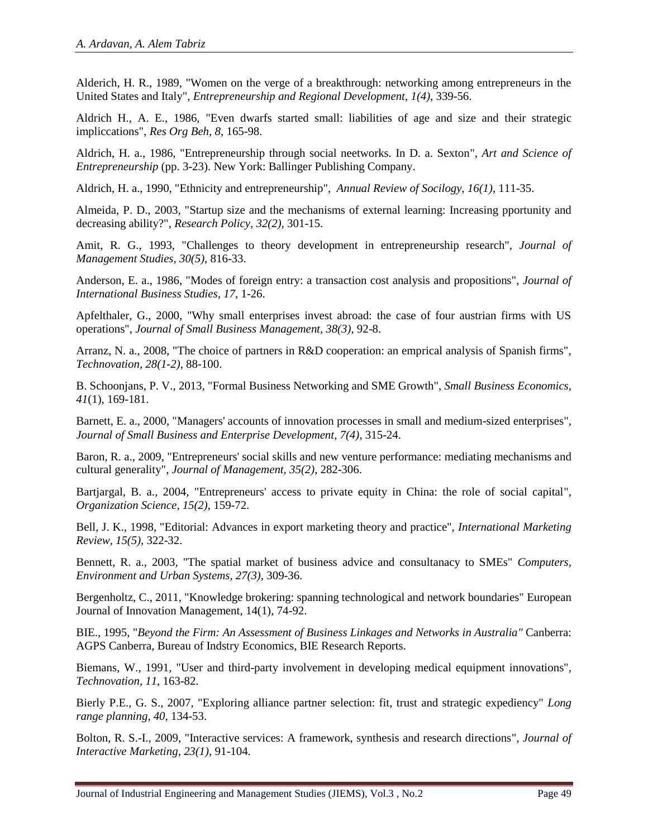Alderich, H. R., 1989, "Women on the verge of a breakthrough: networking among entrepreneurs in the United States and Italy", *Entrepreneurship and Regional Development, 1(4)*, 339-56.

Aldrich H., A. E., 1986, "Even dwarfs started small: liabilities of age and size and their strategic impliccations", *Res Org Beh, 8*, 165-98.

Aldrich, H. a., 1986, "Entrepreneurship through social neetworks. In D. a. Sexton", *Art and Science of Entrepreneurship* (pp. 3-23). New York: Ballinger Publishing Company.

Aldrich, H. a., 1990, "Ethnicity and entrepreneurship", *Annual Review of Socilogy, 16(1)*, 111-35.

Almeida, P. D., 2003, "Startup size and the mechanisms of external learning: Increasing pportunity and decreasing ability?", *Research Policy, 32(2)*, 301-15.

Amit, R. G., 1993, "Challenges to theory development in entrepreneurship research", *Journal of Management Studies, 30(5)*, 816-33.

Anderson, E. a., 1986, "Modes of foreign entry: a transaction cost analysis and propositions", *Journal of International Business Studies, 17*, 1-26.

Apfelthaler, G., 2000, "Why small enterprises invest abroad: the case of four austrian firms with US operations", *Journal of Small Business Management, 38(3)*, 92-8.

Arranz, N. a., 2008, "The choice of partners in R&D cooperation: an emprical analysis of Spanish firms", *Technovation, 28(1-2)*, 88-100.

B. Schoonjans, P. V., 2013, "Formal Business Networking and SME Growth", *Small Business Economics, 41*(1), 169-181.

Barnett, E. a., 2000, "Managers' accounts of innovation processes in small and medium-sized enterprises", *Journal of Small Business and Enterprise Development, 7(4)*, 315-24.

Baron, R. a., 2009, "Entrepreneurs' social skills and new venture performance: mediating mechanisms and cultural generality", *Journal of Management, 35(2)*, 282-306.

Bartjargal, B. a., 2004, "Entrepreneurs' access to private equity in China: the role of social capital", *Organization Science, 15(2)*, 159-72.

Bell, J. K., 1998, "Editorial: Advances in export marketing theory and practice", *International Marketing Review, 15(5)*, 322-32.

Bennett, R. a., 2003, "The spatial market of business advice and consultanacy to SMEs" *Computers, Environment and Urban Systems, 27(3)*, 309-36.

Bergenholtz, C., 2011, "Knowledge brokering: spanning technological and network boundaries" European Journal of Innovation Management, 14(1), 74-92.

BIE., 1995, "*Beyond the Firm: An Assessment of Business Linkages and Networks in Australia"* Canberra: AGPS Canberra, Bureau of Indstry Economics, BIE Research Reports.

Biemans, W., 1991, "User and third-party involvement in developing medical equipment innovations", *Technovation, 11*, 163-82.

Bierly P.E., G. S., 2007, "Exploring alliance partner selection: fit, trust and strategic expediency" *Long range planning, 40*, 134-53.

Bolton, R. S.-I., 2009, "Interactive services: A framework, synthesis and research directions", *Journal of Interactive Marketing, 23(1)*, 91-104.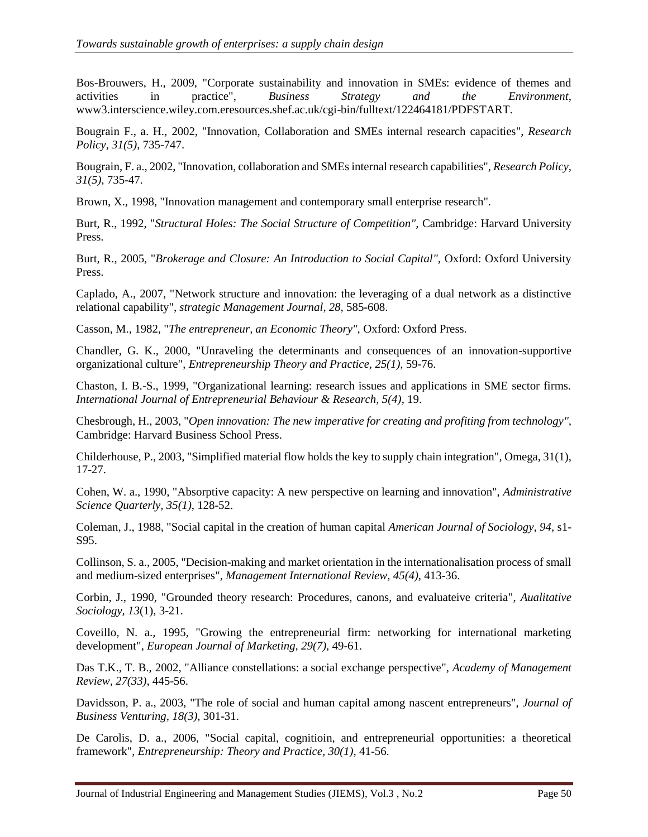Bos-Brouwers, H., 2009, "Corporate sustainability and innovation in SMEs: evidence of themes and activities in practice", *Business Strategy and the Environment*, www3.interscience.wiley.com.eresources.shef.ac.uk/cgi-bin/fulltext/122464181/PDFSTART.

Bougrain F., a. H., 2002, "Innovation, Collaboration and SMEs internal research capacities", *Research Policy, 31(5)*, 735-747.

Bougrain, F. a., 2002, "Innovation, collaboration and SMEs internal research capabilities", *Research Policy, 31(5)*, 735-47.

Brown, X., 1998, "Innovation management and contemporary small enterprise research".

Burt, R., 1992, "*Structural Holes: The Social Structure of Competition",* Cambridge: Harvard University Press.

Burt, R., 2005, "*Brokerage and Closure: An Introduction to Social Capital",* Oxford: Oxford University Press.

Caplado, A., 2007, "Network structure and innovation: the leveraging of a dual network as a distinctive relational capability", *strategic Management Journal, 28*, 585-608.

Casson, M., 1982, "*The entrepreneur, an Economic Theory",* Oxford: Oxford Press.

Chandler, G. K., 2000, "Unraveling the determinants and consequences of an innovation-supportive organizational culture", *Entrepreneurship Theory and Practice, 25(1)*, 59-76.

Chaston, I. B.-S., 1999, "Organizational learning: research issues and applications in SME sector firms. *International Journal of Entrepreneurial Behaviour & Research, 5(4)*, 19.

Chesbrough, H., 2003, "*Open innovation: The new imperative for creating and profiting from technology",* Cambridge: Harvard Business School Press.

Childerhouse, P., 2003, "Simplified material flow holds the key to supply chain integration", Omega, 31(1), 17-27.

Cohen, W. a., 1990, "Absorptive capacity: A new perspective on learning and innovation", *Administrative Science Quarterly, 35(1)*, 128-52.

Coleman, J., 1988, "Social capital in the creation of human capital *American Journal of Sociology, 94*, s1- S95.

Collinson, S. a., 2005, "Decision-making and market orientation in the internationalisation process of small and medium-sized enterprises", *Management International Review, 45(4)*, 413-36.

Corbin, J., 1990, "Grounded theory research: Procedures, canons, and evaluateive criteria", *Aualitative Sociology, 13*(1), 3-21.

Coveillo, N. a., 1995, "Growing the entrepreneurial firm: networking for international marketing development", *European Journal of Marketing, 29(7)*, 49-61.

Das T.K., T. B., 2002, "Alliance constellations: a social exchange perspective", *Academy of Management Review, 27(33)*, 445-56.

Davidsson, P. a., 2003, "The role of social and human capital among nascent entrepreneurs", *Journal of Business Venturing, 18(3)*, 301-31.

De Carolis, D. a., 2006, "Social capital, cognitioin, and entrepreneurial opportunities: a theoretical framework", *Entrepreneurship: Theory and Practice, 30(1)*, 41-56.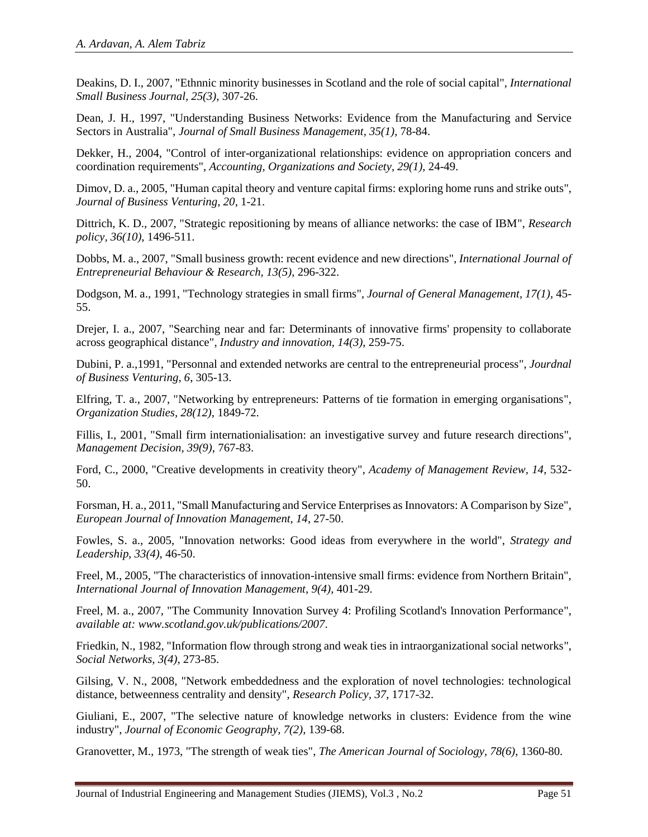Deakins, D. I., 2007, "Ethnnic minority businesses in Scotland and the role of social capital", *International Small Business Journal, 25(3)*, 307-26.

Dean, J. H., 1997, "Understanding Business Networks: Evidence from the Manufacturing and Service Sectors in Australia", *Journal of Small Business Management, 35(1)*, 78-84.

Dekker, H., 2004, "Control of inter-organizational relationships: evidence on appropriation concers and coordination requirements", *Accounting, Organizations and Society, 29(1)*, 24-49.

Dimov, D. a., 2005, "Human capital theory and venture capital firms: exploring home runs and strike outs", *Journal of Business Venturing, 20*, 1-21.

Dittrich, K. D., 2007, "Strategic repositioning by means of alliance networks: the case of IBM", *Research policy, 36(10)*, 1496-511.

Dobbs, M. a., 2007, "Small business growth: recent evidence and new directions", *International Journal of Entrepreneurial Behaviour & Research, 13(5)*, 296-322.

Dodgson, M. a., 1991, "Technology strategies in small firms", *Journal of General Management, 17(1)*, 45- 55.

Drejer, I. a., 2007, "Searching near and far: Determinants of innovative firms' propensity to collaborate across geographical distance", *Industry and innovation, 14(3)*, 259-75.

Dubini, P. a.,1991, "Personnal and extended networks are central to the entrepreneurial process", *Jourdnal of Business Venturing, 6*, 305-13.

Elfring, T. a., 2007, "Networking by entrepreneurs: Patterns of tie formation in emerging organisations", *Organization Studies, 28(12)*, 1849-72.

Fillis, I., 2001, "Small firm internationialisation: an investigative survey and future research directions", *Management Decision, 39(9)*, 767-83.

Ford, C., 2000, "Creative developments in creativity theory", *Academy of Management Review, 14*, 532- 50.

Forsman, H. a., 2011, "Small Manufacturing and Service Enterprises as Innovators: A Comparison by Size", *European Journal of Innovation Management, 14*, 27-50.

Fowles, S. a., 2005, "Innovation networks: Good ideas from everywhere in the world", *Strategy and Leadership, 33(4)*, 46-50.

Freel, M., 2005, "The characteristics of innovation-intensive small firms: evidence from Northern Britain", *International Journal of Innovation Management, 9(4)*, 401-29.

Freel, M. a., 2007, "The Community Innovation Survey 4: Profiling Scotland's Innovation Performance", *available at: www.scotland.gov.uk/publications/2007*.

Friedkin, N., 1982, "Information flow through strong and weak ties in intraorganizational social networks", *Social Networks, 3(4)*, 273-85.

Gilsing, V. N., 2008, "Network embeddedness and the exploration of novel technologies: technological distance, betweenness centrality and density", *Research Policy, 37*, 1717-32.

Giuliani, E., 2007, "The selective nature of knowledge networks in clusters: Evidence from the wine industry", *Journal of Economic Geography, 7(2)*, 139-68.

Granovetter, M., 1973, "The strength of weak ties", *The American Journal of Sociology, 78(6)*, 1360-80.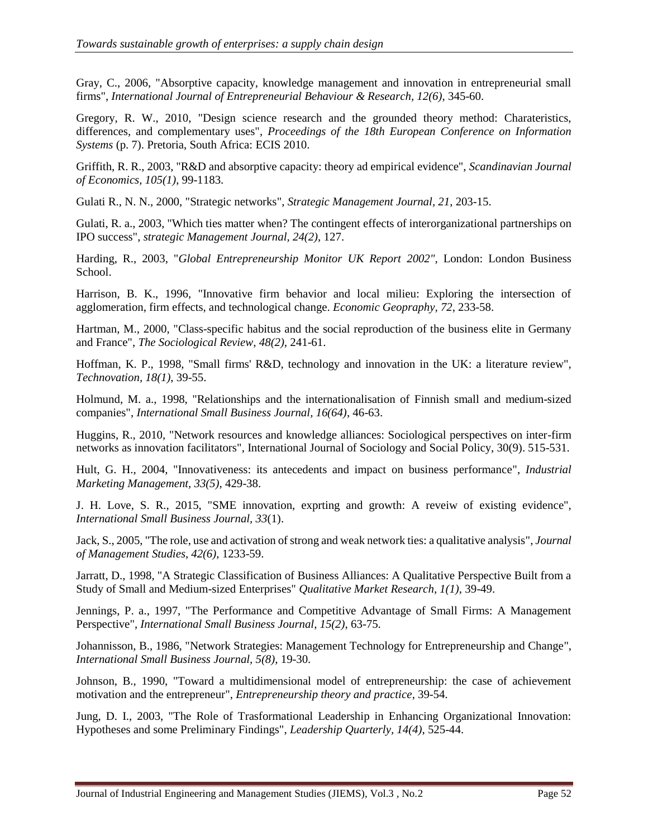Gray, C., 2006, "Absorptive capacity, knowledge management and innovation in entrepreneurial small firms", *International Journal of Entrepreneurial Behaviour & Research, 12(6)*, 345-60.

Gregory, R. W., 2010, "Design science research and the grounded theory method: Charateristics, differences, and complementary uses", *Proceedings of the 18th European Conference on Information Systems* (p. 7). Pretoria, South Africa: ECIS 2010.

Griffith, R. R., 2003, "R&D and absorptive capacity: theory ad empirical evidence", *Scandinavian Journal of Economics, 105(1)*, 99-1183.

Gulati R., N. N., 2000, "Strategic networks", *Strategic Management Journal, 21*, 203-15.

Gulati, R. a., 2003, "Which ties matter when? The contingent effects of interorganizational partnerships on IPO success", *strategic Management Journal, 24(2)*, 127.

Harding, R., 2003, "*Global Entrepreneurship Monitor UK Report 2002",* London: London Business School.

Harrison, B. K., 1996, "Innovative firm behavior and local milieu: Exploring the intersection of agglomeration, firm effects, and technological change. *Economic Geopraphy, 72*, 233-58.

Hartman, M., 2000, "Class-specific habitus and the social reproduction of the business elite in Germany and France", *The Sociological Review, 48(2)*, 241-61.

Hoffman, K. P., 1998, "Small firms' R&D, technology and innovation in the UK: a literature review", *Technovation, 18(1)*, 39-55.

Holmund, M. a., 1998, "Relationships and the internationalisation of Finnish small and medium-sized companies", *International Small Business Journal, 16(64)*, 46-63.

Huggins, R., 2010, "Network resources and knowledge alliances: Sociological perspectives on inter-firm networks as innovation facilitators", International Journal of Sociology and Social Policy, 30(9). 515-531.

Hult, G. H., 2004, "Innovativeness: its antecedents and impact on business performance", *Industrial Marketing Management, 33(5)*, 429-38.

J. H. Love, S. R., 2015, "SME innovation, exprting and growth: A reveiw of existing evidence", *International Small Business Journal, 33*(1).

Jack, S., 2005, "The role, use and activation of strong and weak network ties: a qualitative analysis", *Journal of Management Studies, 42(6)*, 1233-59.

Jarratt, D., 1998, "A Strategic Classification of Business Alliances: A Qualitative Perspective Built from a Study of Small and Medium-sized Enterprises" *Qualitative Market Research, 1(1)*, 39-49.

Jennings, P. a., 1997, "The Performance and Competitive Advantage of Small Firms: A Management Perspective", *International Small Business Journal, 15(2)*, 63-75.

Johannisson, B., 1986, "Network Strategies: Management Technology for Entrepreneurship and Change", *International Small Business Journal, 5(8)*, 19-30.

Johnson, B., 1990, "Toward a multidimensional model of entrepreneurship: the case of achievement motivation and the entrepreneur", *Entrepreneurship theory and practice*, 39-54.

Jung, D. I., 2003, "The Role of Trasformational Leadership in Enhancing Organizational Innovation: Hypotheses and some Preliminary Findings", *Leadership Quarterly, 14(4)*, 525-44.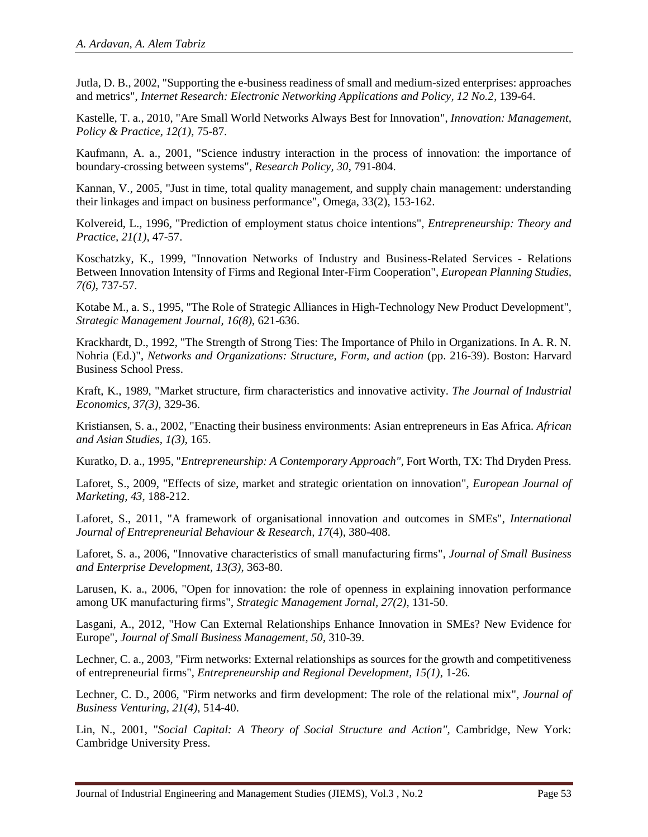Jutla, D. B., 2002, "Supporting the e-business readiness of small and medium-sized enterprises: approaches and metrics", *Internet Research: Electronic Networking Applications and Policy, 12 No.2*, 139-64.

Kastelle, T. a., 2010, "Are Small World Networks Always Best for Innovation", *Innovation: Management, Policy & Practice, 12(1)*, 75-87.

Kaufmann, A. a., 2001, "Science industry interaction in the process of innovation: the importance of boundary-crossing between systems", *Research Policy, 30*, 791-804.

Kannan, V., 2005, "Just in time, total quality management, and supply chain management: understanding their linkages and impact on business performance", Omega, 33(2), 153-162.

Kolvereid, L., 1996, "Prediction of employment status choice intentions", *Entrepreneurship: Theory and Practice, 21(1)*, 47-57.

Koschatzky, K., 1999, "Innovation Networks of Industry and Business-Related Services - Relations Between Innovation Intensity of Firms and Regional Inter-Firm Cooperation", *European Planning Studies, 7(6)*, 737-57.

Kotabe M., a. S., 1995, "The Role of Strategic Alliances in High-Technology New Product Development", *Strategic Management Journal, 16(8)*, 621-636.

Krackhardt, D., 1992, "The Strength of Strong Ties: The Importance of Philo in Organizations. In A. R. N. Nohria (Ed.)", *Networks and Organizations: Structure, Form, and action* (pp. 216-39). Boston: Harvard Business School Press.

Kraft, K., 1989, "Market structure, firm characteristics and innovative activity. *The Journal of Industrial Economics, 37(3)*, 329-36.

Kristiansen, S. a., 2002, "Enacting their business environments: Asian entrepreneurs in Eas Africa. *African and Asian Studies, 1(3)*, 165.

Kuratko, D. a., 1995, "*Entrepreneurship: A Contemporary Approach",* Fort Worth, TX: Thd Dryden Press.

Laforet, S., 2009, "Effects of size, market and strategic orientation on innovation", *European Journal of Marketing, 43*, 188-212.

Laforet, S., 2011, "A framework of organisational innovation and outcomes in SMEs", *International Journal of Entrepreneurial Behaviour & Research, 17*(4), 380-408.

Laforet, S. a., 2006, "Innovative characteristics of small manufacturing firms", *Journal of Small Business and Enterprise Development, 13(3)*, 363-80.

Larusen, K. a., 2006, "Open for innovation: the role of openness in explaining innovation performance among UK manufacturing firms", *Strategic Management Jornal, 27(2)*, 131-50.

Lasgani, A., 2012, "How Can External Relationships Enhance Innovation in SMEs? New Evidence for Europe", *Journal of Small Business Management, 50*, 310-39.

Lechner, C. a., 2003, "Firm networks: External relationships as sources for the growth and competitiveness of entrepreneurial firms", *Entrepreneurship and Regional Development, 15(1)*, 1-26.

Lechner, C. D., 2006, "Firm networks and firm development: The role of the relational mix", *Journal of Business Venturing, 21(4)*, 514-40.

Lin, N., 2001, "*Social Capital: A Theory of Social Structure and Action",* Cambridge, New York: Cambridge University Press.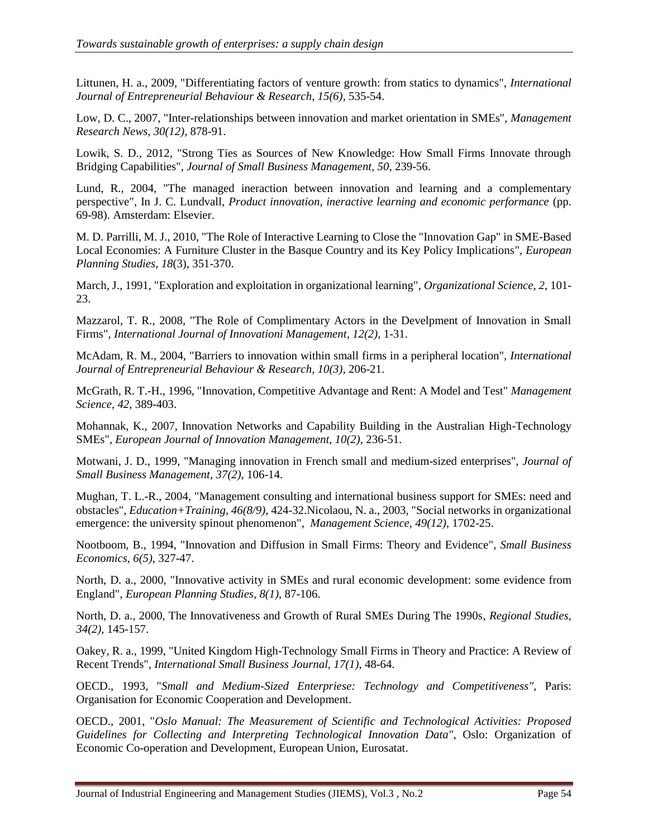Littunen, H. a., 2009, "Differentiating factors of venture growth: from statics to dynamics", *International Journal of Entrepreneurial Behaviour & Research, 15(6)*, 535-54.

Low, D. C., 2007, "Inter-relationships between innovation and market orientation in SMEs", *Management Research News, 30(12)*, 878-91.

Lowik, S. D., 2012, "Strong Ties as Sources of New Knowledge: How Small Firms Innovate through Bridging Capabilities", *Journal of Small Business Management, 50*, 239-56.

Lund, R., 2004, "The managed ineraction between innovation and learning and a complementary perspective", In J. C. Lundvall, *Product innovation, ineractive learning and economic performance* (pp. 69-98). Amsterdam: Elsevier.

M. D. Parrilli, M. J., 2010, "The Role of Interactive Learning to Close the "Innovation Gap" in SME-Based Local Economies: A Furniture Cluster in the Basque Country and its Key Policy Implications", *European Planning Studies, 18*(3), 351-370.

March, J., 1991, "Exploration and exploitation in organizational learning", *Organizational Science, 2*, 101- 23.

Mazzarol, T. R., 2008, "The Role of Complimentary Actors in the Develpment of Innovation in Small Firms", *International Journal of Innovationi Management, 12(2)*, 1-31.

McAdam, R. M., 2004, "Barriers to innovation within small firms in a peripheral location", *International Journal of Entrepreneurial Behaviour & Research, 10(3)*, 206-21.

McGrath, R. T.-H., 1996, "Innovation, Competitive Advantage and Rent: A Model and Test" *Management Science, 42*, 389-403.

Mohannak, K., 2007, Innovation Networks and Capability Building in the Australian High-Technology SMEs", *European Journal of Innovation Management, 10(2)*, 236-51.

Motwani, J. D., 1999, "Managing innovation in French small and medium-sized enterprises", *Journal of Small Business Management, 37(2)*, 106-14.

Mughan, T. L.-R., 2004, "Management consulting and international business support for SMEs: need and obstacles", *Education+Training, 46(8/9)*, 424-32.Nicolaou, N. a., 2003, "Social networks in organizational emergence: the university spinout phenomenon", *Management Science, 49(12)*, 1702-25.

Nootboom, B., 1994, "Innovation and Diffusion in Small Firms: Theory and Evidence", *Small Business Economics, 6(5)*, 327-47.

North, D. a., 2000, "Innovative activity in SMEs and rural economic development: some evidence from England", *European Planning Studies, 8(1)*, 87-106.

North, D. a., 2000, The Innovativeness and Growth of Rural SMEs During The 1990s, *Regional Studies, 34(2)*, 145-157.

Oakey, R. a., 1999, "United Kingdom High-Technology Small Firms in Theory and Practice: A Review of Recent Trends", *International Small Business Journal, 17(1)*, 48-64.

OECD., 1993, "*Small and Medium-Sized Enterpriese: Technology and Competitiveness",* Paris: Organisation for Economic Cooperation and Development.

OECD., 2001, "*Oslo Manual: The Measurement of Scientific and Technological Activities: Proposed Guidelines for Collecting and Interpreting Technological Innovation Data",* Oslo: Organization of Economic Co-operation and Development, European Union, Eurosatat.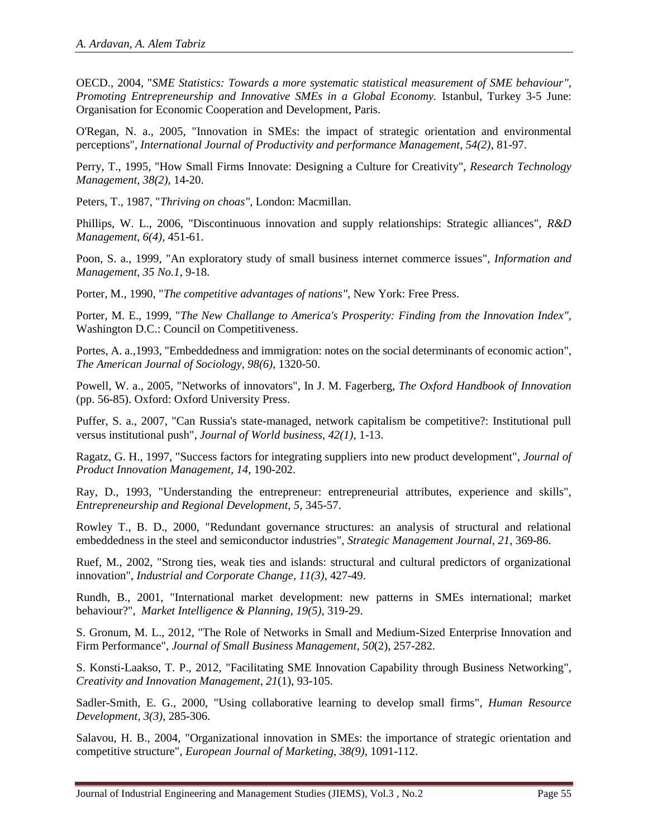OECD., 2004, "*SME Statistics: Towards a more systematic statistical measurement of SME behaviour", Promoting Entrepreneurship and Innovative SMEs in a Global Economy.* Istanbul, Turkey 3-5 June: Organisation for Economic Cooperation and Development, Paris.

O'Regan, N. a., 2005, "Innovation in SMEs: the impact of strategic orientation and environmental perceptions", *International Journal of Productivity and performance Management, 54(2)*, 81-97.

Perry, T., 1995, "How Small Firms Innovate: Designing a Culture for Creativity", *Research Technology Management, 38(2)*, 14-20.

Peters, T., 1987, "*Thriving on choas",* London: Macmillan.

Phillips, W. L., 2006, "Discontinuous innovation and supply relationships: Strategic alliances", *R&D Management, 6(4)*, 451-61.

Poon, S. a., 1999, "An exploratory study of small business internet commerce issues", *Information and Management, 35 No.1*, 9-18.

Porter, M., 1990, "*The competitive advantages of nations",* New York: Free Press.

Porter, M. E., 1999, "*The New Challange to America's Prosperity: Finding from the Innovation Index",* Washington D.C.: Council on Competitiveness.

Portes, A. a.,1993, "Embeddedness and immigration: notes on the social determinants of economic action", *The American Journal of Sociology, 98(6)*, 1320-50.

Powell, W. a., 2005, "Networks of innovators", In J. M. Fagerberg, *The Oxford Handbook of Innovation* (pp. 56-85). Oxford: Oxford University Press.

Puffer, S. a., 2007, "Can Russia's state-managed, network capitalism be competitive?: Institutional pull versus institutional push", *Journal of World business, 42(1)*, 1-13.

Ragatz, G. H., 1997, "Success factors for integrating suppliers into new product development", *Journal of Product Innovation Management, 14*, 190-202.

Ray, D., 1993, "Understanding the entrepreneur: entrepreneurial attributes, experience and skills", *Entrepreneurship and Regional Development, 5*, 345-57.

Rowley T., B. D., 2000, "Redundant governance structures: an analysis of structural and relational embeddedness in the steel and semiconductor industries", *Strategic Management Journal, 21*, 369-86.

Ruef, M., 2002, "Strong ties, weak ties and islands: structural and cultural predictors of organizational innovation", *Industrial and Corporate Change, 11(3)*, 427-49.

Rundh, B., 2001, "International market development: new patterns in SMEs international; market behaviour?", *Market Intelligence & Planning, 19(5)*, 319-29.

S. Gronum, M. L., 2012, "The Role of Networks in Small and Medium-Sized Enterprise Innovation and Firm Performance", *Journal of Small Business Management, 50*(2), 257-282.

S. Konsti-Laakso, T. P., 2012, "Facilitating SME Innovation Capability through Business Networking", *Creativity and Innovation Management, 21*(1), 93-105.

Sadler-Smith, E. G., 2000, "Using collaborative learning to develop small firms", *Human Resource Development, 3(3)*, 285-306.

Salavou, H. B., 2004, "Organizational innovation in SMEs: the importance of strategic orientation and competitive structure", *European Journal of Marketing, 38(9)*, 1091-112.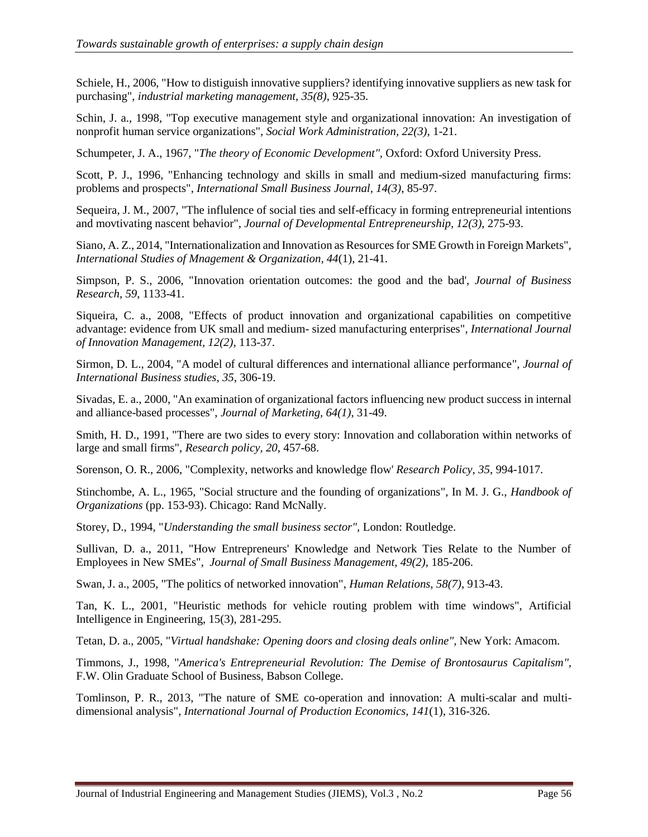Schiele, H., 2006, "How to distiguish innovative suppliers? identifying innovative suppliers as new task for purchasing", *industrial marketing management, 35(8)*, 925-35.

Schin, J. a., 1998, "Top executive management style and organizational innovation: An investigation of nonprofit human service organizations", *Social Work Administration, 22(3)*, 1-21.

Schumpeter, J. A., 1967, "*The theory of Economic Development",* Oxford: Oxford University Press.

Scott, P. J., 1996, "Enhancing technology and skills in small and medium-sized manufacturing firms: problems and prospects", *International Small Business Journal, 14(3)*, 85-97.

Sequeira, J. M., 2007, "The influlence of social ties and self-efficacy in forming entrepreneurial intentions and movtivating nascent behavior", *Journal of Developmental Entrepreneurship, 12(3)*, 275-93.

Siano, A. Z., 2014, "Internationalization and Innovation as Resources for SME Growth in Foreign Markets", *International Studies of Mnagement & Organization, 44*(1), 21-41.

Simpson, P. S., 2006, "Innovation orientation outcomes: the good and the bad', *Journal of Business Research, 59*, 1133-41.

Siqueira, C. a., 2008, "Effects of product innovation and organizational capabilities on competitive advantage: evidence from UK small and medium- sized manufacturing enterprises", *International Journal of Innovation Management, 12(2)*, 113-37.

Sirmon, D. L., 2004, "A model of cultural differences and international alliance performance", *Journal of International Business studies, 35*, 306-19.

Sivadas, E. a., 2000, "An examination of organizational factors influencing new product success in internal and alliance-based processes", *Journal of Marketing, 64(1)*, 31-49.

Smith, H. D., 1991, "There are two sides to every story: Innovation and collaboration within networks of large and small firms", *Research policy, 20*, 457-68.

Sorenson, O. R., 2006, "Complexity, networks and knowledge flow' *Research Policy, 35*, 994-1017.

Stinchombe, A. L., 1965, "Social structure and the founding of organizations", In M. J. G., *Handbook of Organizations* (pp. 153-93). Chicago: Rand McNally.

Storey, D., 1994, "*Understanding the small business sector",* London: Routledge.

Sullivan, D. a., 2011, "How Entrepreneurs' Knowledge and Network Ties Relate to the Number of Employees in New SMEs", *Journal of Small Business Management, 49(2)*, 185-206.

Swan, J. a., 2005, "The politics of networked innovation", *Human Relations, 58(7)*, 913-43.

Tan, K. L., 2001, "Heuristic methods for vehicle routing problem with time windows", Artificial Intelligence in Engineering, 15(3), 281-295.

Tetan, D. a., 2005, "*Virtual handshake: Opening doors and closing deals online",* New York: Amacom.

Timmons, J., 1998, "*America's Entrepreneurial Revolution: The Demise of Brontosaurus Capitalism",* F.W. Olin Graduate School of Business, Babson College.

Tomlinson, P. R., 2013, "The nature of SME co-operation and innovation: A multi-scalar and multidimensional analysis", *International Journal of Production Economics, 141*(1), 316-326.